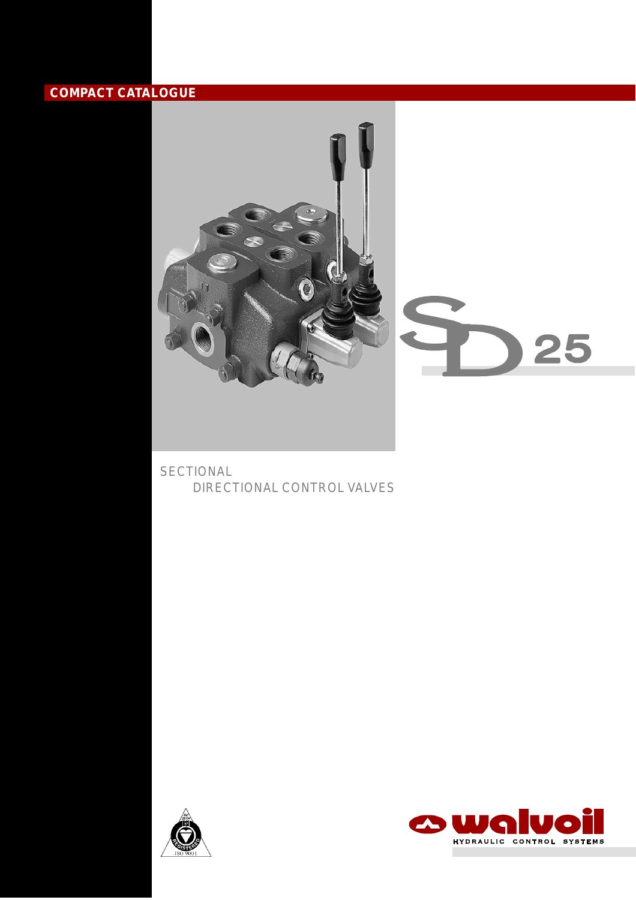# **COMPACT CATALOGUE**



**SECTIONAL** DIRECTIONAL CONTROL VALVES



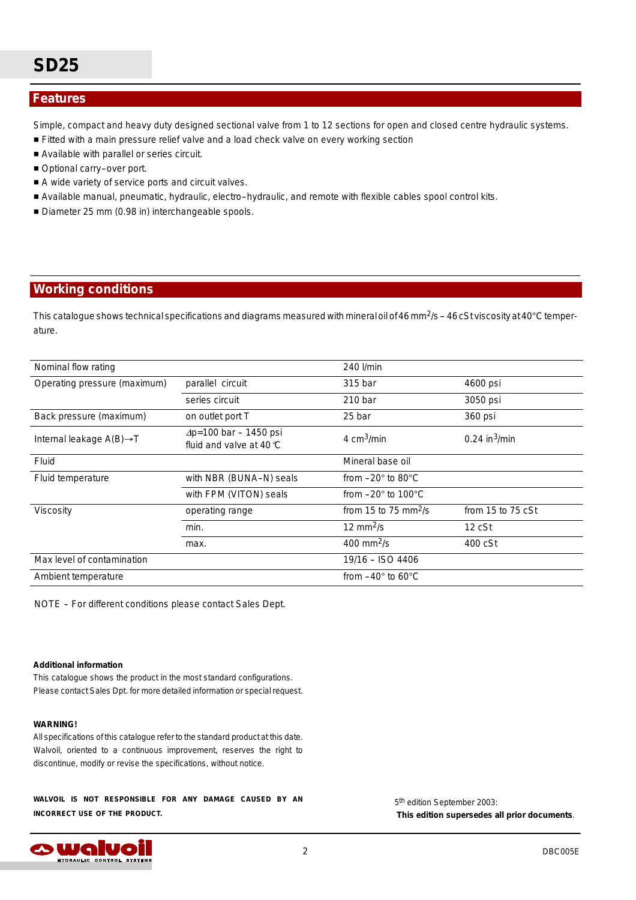#### **Features**

Simple, compact and heavy duty designed sectional valve from 1 to 12 sections for open and closed centre hydraulic systems.

- Fitted with a main pressure relief valve and a load check valve on every working section
- Available with parallel or series circuit.
- Optional carry-over port.
- A wide variety of service ports and circuit valves.
- Nailable manual, pneumatic, hydraulic, electro-hydraulic, and remote with flexible cables spool control kits.
- Diameter 25 mm (0.98 in) interchangeable spools.

#### **Working conditions**

This catalogue shows technical specifications and diagrams measured with mineral oil of 46 mm<sup>2</sup>/s - 46 cSt viscosity at 40°C temperature.

| Nominal flow rating                                                                                           |                         | 240 l/min                              |                         |  |
|---------------------------------------------------------------------------------------------------------------|-------------------------|----------------------------------------|-------------------------|--|
| Operating pressure (maximum)                                                                                  | parallel circuit        | 315 bar                                | 4600 psi                |  |
|                                                                                                               | series circuit          | 210 bar                                | 3050 psi                |  |
| Back pressure (maximum)                                                                                       | on outlet port T        | 25 bar                                 | 360 psi                 |  |
| $\Delta p = 100$ bar - 1450 psi<br>Internal leakage $A(B) \rightarrow T$<br>fluid and valve at $40^{\circ}$ C |                         | 4 $cm3/min$<br>0.24 in $\frac{3}{min}$ |                         |  |
| Fluid                                                                                                         |                         | Mineral base oil                       |                         |  |
| Fluid temperature                                                                                             | with NBR (BUNA-N) seals | from $-20^\circ$ to 80 $^\circ$ C      |                         |  |
|                                                                                                               | with FPM (VITON) seals  | from $-20^\circ$ to $100^\circ$ C      |                         |  |
| Viscosity                                                                                                     | operating range         | from 15 to 75 mm <sup>2</sup> /s       | from $15$ to $75$ $cSt$ |  |
|                                                                                                               | min.                    | 12 mm <sup>2</sup> /s                  | 12 cSt                  |  |
|                                                                                                               | max.                    | 400 mm <sup>2</sup> /s                 | 400 cSt                 |  |
| Max level of contamination                                                                                    |                         | 19/16 - ISO 4406                       |                         |  |
| Ambient temperature                                                                                           |                         | from $-40^\circ$ to 60 $^\circ$ C      |                         |  |

NOTE *-- For different conditions please contact Sales Dept.*

#### **Additional information**

This catalogue shows the product in the most standard configurations. Please contact Sales Dpt*.* for more detailed information or special request.

#### **WARNING!**

All specifications of this catalogue refer to the standard product at this date. Walvoil, oriented to a continuous improvement, reserves the right to discontinue, modify or revise the specifications, without notice.

**WALVOIL IS NOT RESPONSIBLE FOR ANY DAMAGE CAUSED BY AN INCORRECT USE OF THE PRODUCT.**



5th edition September 2003: **This edition supersedes all prior documents**.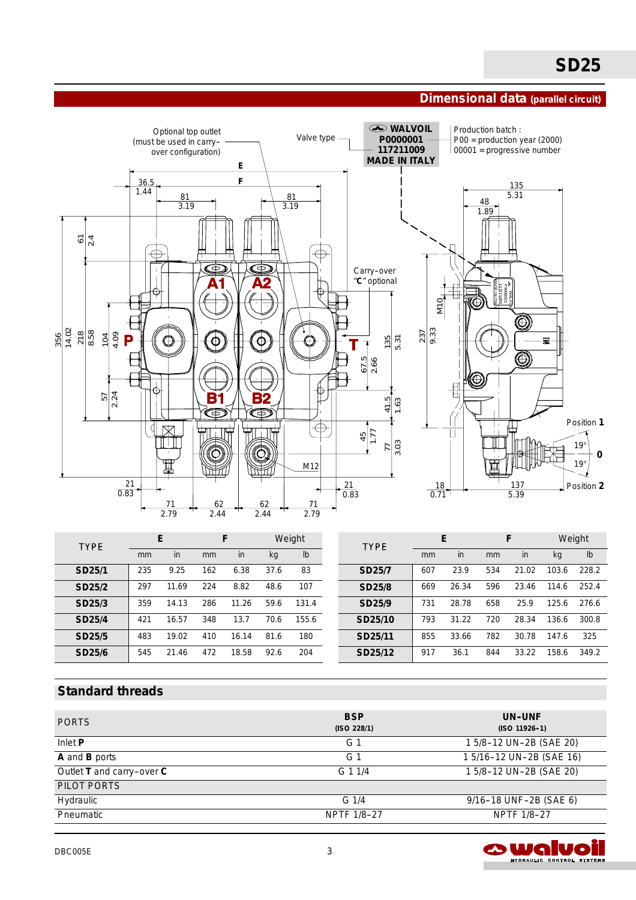#### **Dimensional data (parallel circuit)**



| <b>TYPE</b>         | E   |       |     |           | Weight |                         | <b>TYPE</b>         | E   |       |     |       | Weight |       |
|---------------------|-----|-------|-----|-----------|--------|-------------------------|---------------------|-----|-------|-----|-------|--------|-------|
|                     | mm  | in    | mm  | in        | kg     | $\mathsf{I} \mathsf{b}$ |                     | mm  | in    | mm  | in    | kg     | lb    |
| SD25/1              | 235 | 9.25  | 162 | 6.38      | 37.6   | 83                      | SD <sub>25</sub> /7 | 607 | 23.9  | 534 | 21.02 | 103.6  | 228.2 |
| SD25/2              | 297 | 11.69 | 224 | 8.82      | 48.6   | 107                     | <b>SD25/8</b>       | 669 | 26.34 | 596 | 23.46 | 114.6  | 252.4 |
| SD25/3              | 359 | 14.13 | 286 | .26<br>11 | 59.6   | 131.4                   | SD <sub>25</sub> /9 | 731 | 28.78 | 658 | 25.9  | 125.6  | 276.6 |
| SD25/4              | 421 | 16.57 | 348 | 13.7      | 70.6   | 155.6                   | SD25/10             | 793 | 31.22 | 720 | 28.34 | 136.6  | 300.8 |
| SD25/5              | 483 | 19.02 | 410 | 16.14     | 81.6   | 180                     | SD25/11             | 855 | 33.66 | 782 | 30.78 | 147.6  | 325   |
| SD <sub>25</sub> /6 | 545 | 21.46 | 472 | 18.58     | 92.6   | 204                     | SD25/12             | 917 | 36.1  | 844 | 33.22 | 158.6  | 349.2 |

#### **Standard threads**

| <b>PORTS</b>                | <b>BSP</b><br>(ISO 228/1) | UN-UNF<br>$(ISO 11926-1)$ |
|-----------------------------|---------------------------|---------------------------|
| Inlet P                     | G 1                       | 1 5/8-12 UN-2B (SAE 20)   |
| <b>A</b> and <b>B</b> ports | G 1                       | 1 5/16-12 UN-2B (SAE 16)  |
| Outlet T and carry-over C   | G 1 1/4                   | 1 5/8-12 UN-2B (SAE 20)   |
| PILOT PORTS                 |                           |                           |
| Hydraulic                   | G <sub>1/4</sub>          | 9/16-18 UNF-2B (SAE 6)    |
| <b>Pneumatic</b>            | <b>NPTF 1/8-27</b>        | <b>NPTF 1/8-27</b>        |

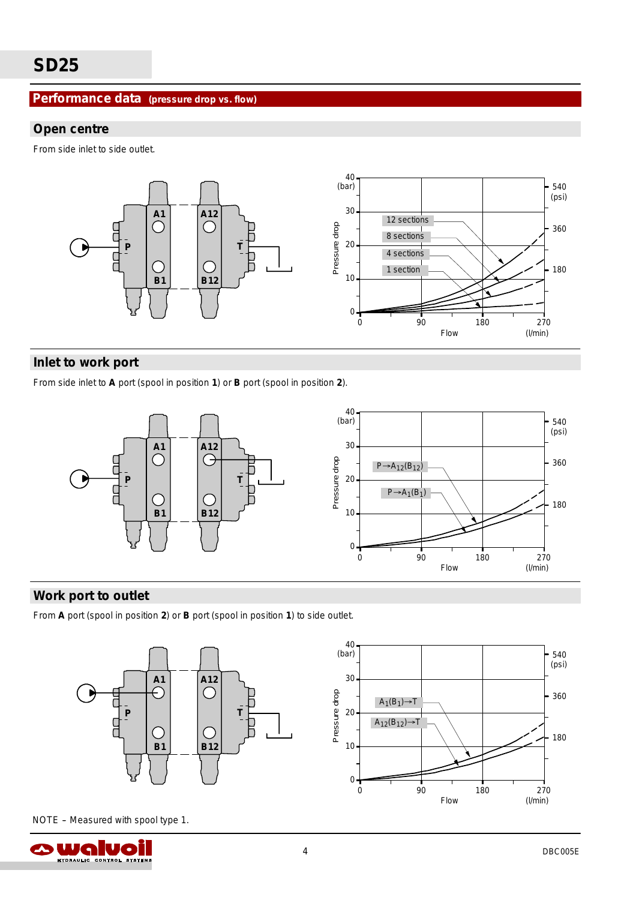#### **Performance data (pressure drop vs. flow)**

#### **Open centre**

From side inlet to side outlet.



#### **Inlet to work port**

From side inlet to **A** port (spool in position **1**) or **B** port (spool in position **2**).



#### **Work port to outlet**

From **A** port (spool in position **2**) or **B** port (spool in position **1**) to side outlet.







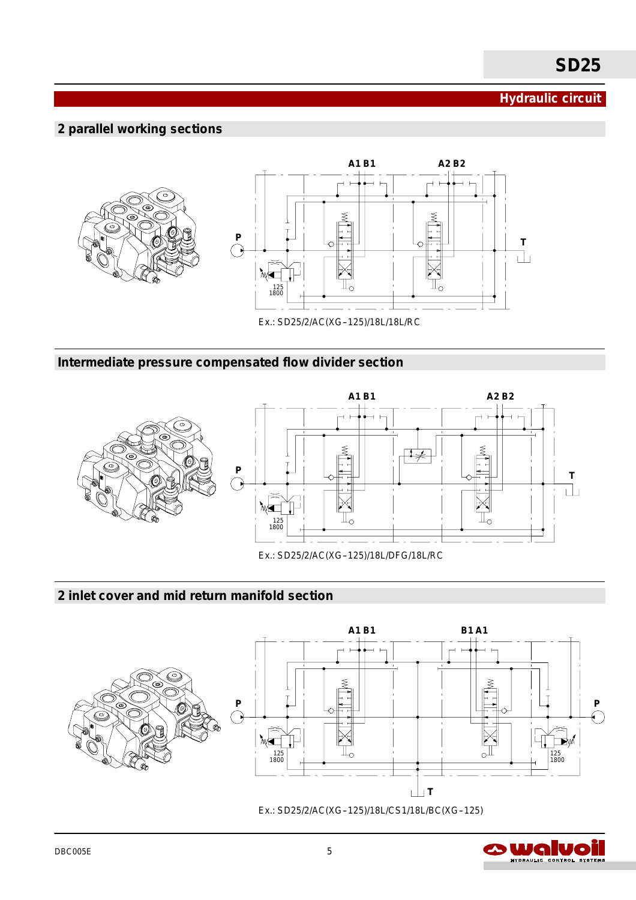**Hydraulic circuit**

# **2 parallel working sections**



Ex.: SD25/2/AC(XG--125)/18L/18L/RC

**Intermediate pressure compensated flow divider section**





Ex.: SD25/2/AC(XG-125)/18L/DFG/18L/RC

# **2 inlet cover and mid return manifold section**



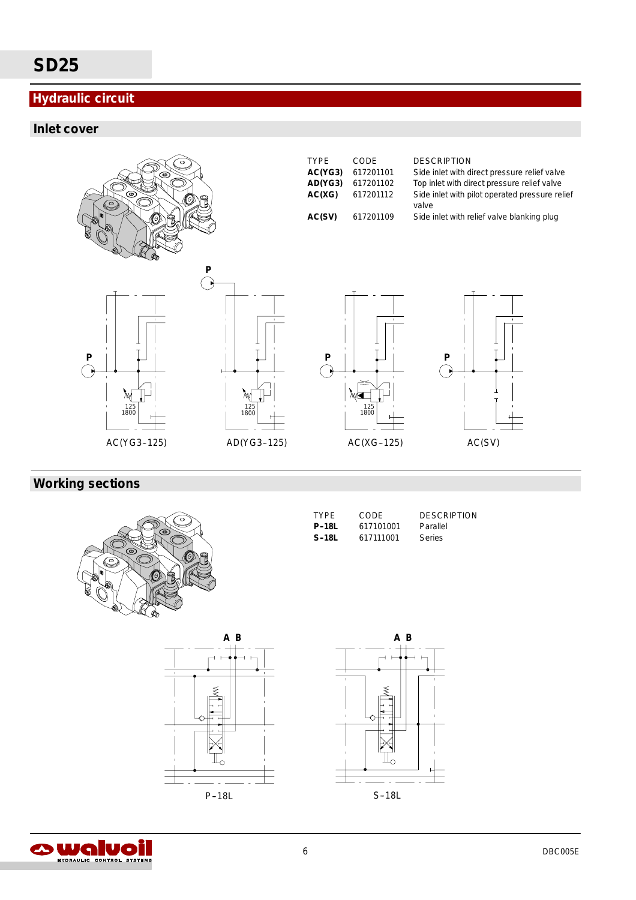# **Hydraulic circuit**

# **Inlet cover**



| <b>TYPF</b> | CODE.     | <b>DESCRIPTION</b>                                      |
|-------------|-----------|---------------------------------------------------------|
| AC(YG3)     | 617201101 | Side inlet with direct pressure relief valve            |
| AD(YG3)     | 617201102 | Top inlet with direct pressure relief valve             |
| AC(XG)      | 617201112 | Side inlet with pilot operated pressure relief<br>valve |
| AC(SV)      | 617201109 | Side inlet with relief valve blanking plug              |
|             |           |                                                         |









# **Working sections**



| TYPF  | CODE      | <b>DESCRIPTION</b> |
|-------|-----------|--------------------|
| P-18L | 617101001 | Parallel           |
| S-18L | 617111001 | <b>Series</b>      |





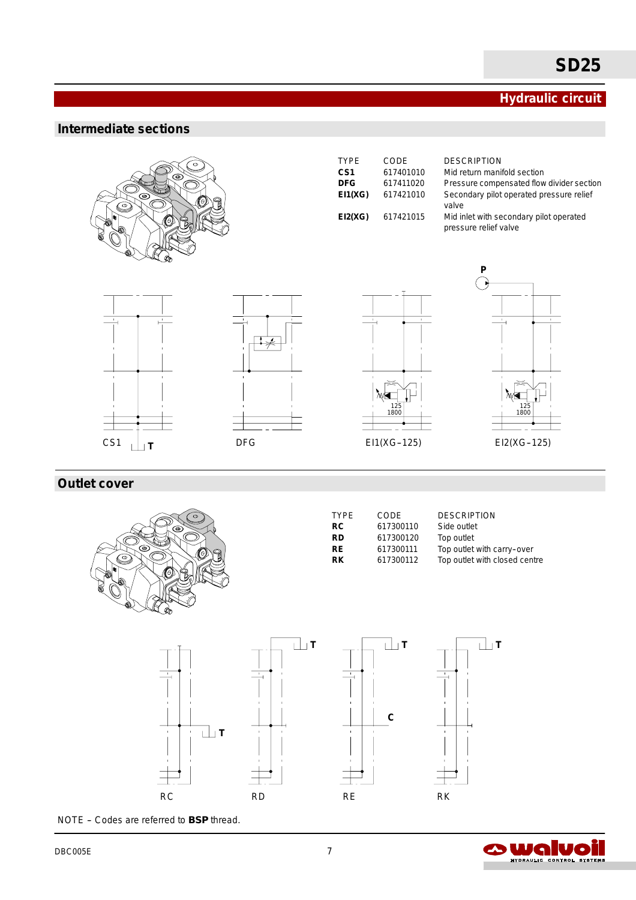# **Hydraulic circuit**

### **Intermediate sections**



| <b>TYPE</b>     | CODE.     | <b>DESCRIPTION</b>                                               |
|-----------------|-----------|------------------------------------------------------------------|
| CS <sub>1</sub> | 617401010 | Mid return manifold section                                      |
| <b>DFG</b>      | 617411020 | Pressure compensated flow divider section                        |
| E11(XG)         | 617421010 | Secondary pilot operated pressure relief<br>valve                |
| E12(XG)         | 617421015 | Mid inlet with secondary pilot operated<br>pressure relief valve |







TYPE CODE DESCRIPTION<br>RC 617300110 Side outlet **RC** 617300110 Side outlet<br>**RD** 617300120 Top outlet 617300120

**C**

**RE** 617300111 Top outlet with carry-over **RK** 617300112 Top outlet with closed centre



#### **Outlet cover**









NOTE -- *Codes are referred to BSP thread.*

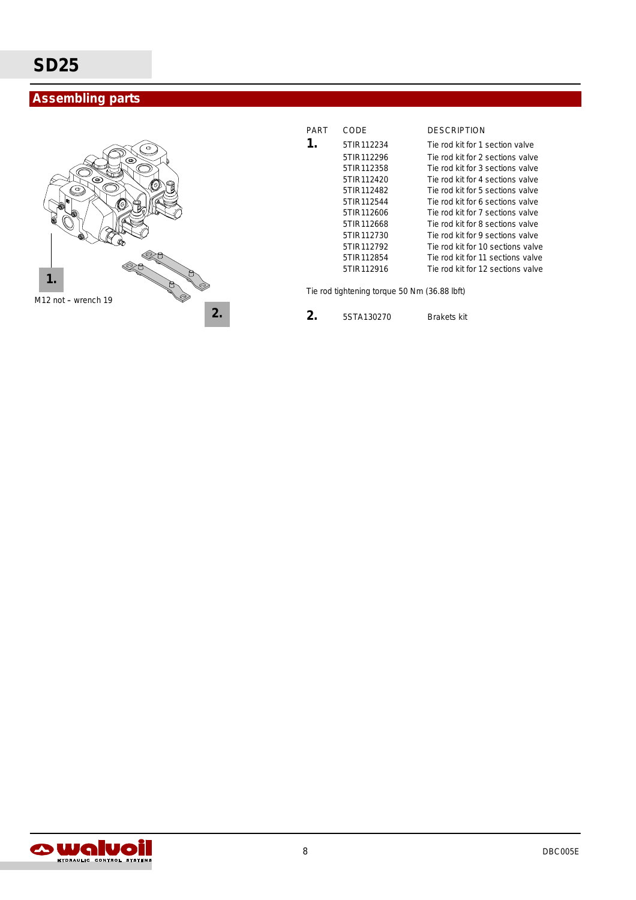# **Assembling parts**



| PART | CODE       | <b>DESCRIPTION</b>                |
|------|------------|-----------------------------------|
|      | 5TIR112234 | Tie rod kit for 1 section valve   |
|      | 5TIR112296 | Tie rod kit for 2 sections valve  |
|      | 5TIR112358 | Tie rod kit for 3 sections valve  |
|      | 5TIR112420 | Tie rod kit for 4 sections valve  |
|      | 5TIR112482 | Tie rod kit for 5 sections valve  |
|      | 5TIR112544 | Tie rod kit for 6 sections valve  |
|      | 5TIR112606 | Tie rod kit for 7 sections valve  |
|      | 5TIR112668 | Tie rod kit for 8 sections valve  |
|      | 5TIR112730 | Tie rod kit for 9 sections valve  |
|      | 5TIR112792 | Tie rod kit for 10 sections valve |
|      | 5TIR112854 | Tie rod kit for 11 sections valve |
|      | 5TIR112916 | Tie rod kit for 12 sections valve |
|      |            |                                   |

Tie rod tightening torque 50 Nm *(36.88 lbft)*

**2. 2.** 5STA130270 Brakets kit

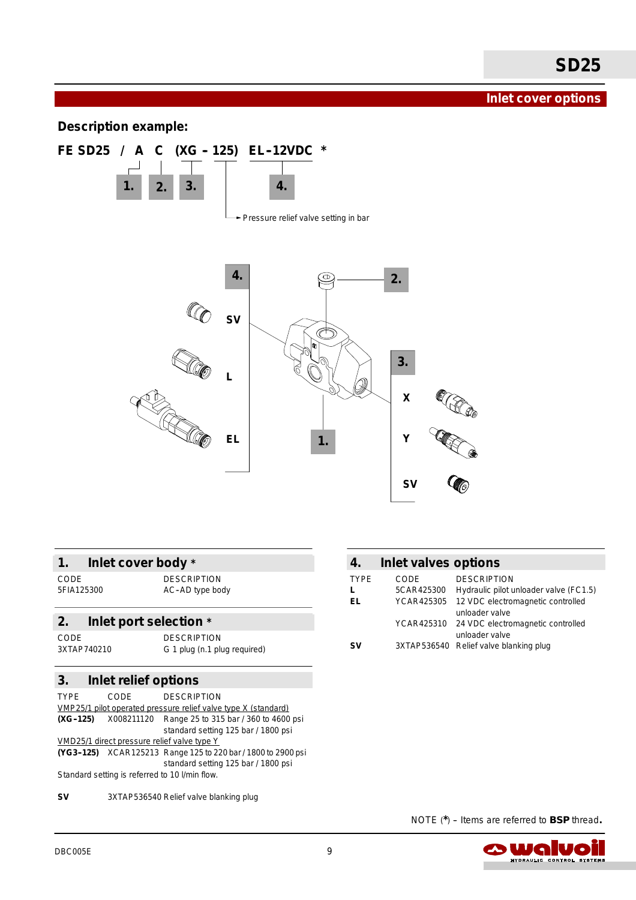#### **Inlet cover options**

### **Description example:**



Pressure relief valve setting in bar



#### **1. Inlet cover body \***

CODE DESCRIPTION<br>5FIA125300 AC-AD type bo

# AC-AD type body

#### **2. Inlet port selection \***

CODE DESCRIPTION<br>3XTAP740210 G 1 plug (n.1 plu G 1 plug (n.1 plug required)

#### **3. Inlet relief options**

| <b>TYPE</b>                                    | CODE. | <b>DESCRIPTION</b>                                             |  |  |
|------------------------------------------------|-------|----------------------------------------------------------------|--|--|
|                                                |       | VMP25/1 pilot operated pressure relief valve type X (standard) |  |  |
| $(XG-125)$                                     |       | X008211120 Range 25 to 315 bar / 360 to 4600 psi               |  |  |
|                                                |       | standard setting 125 bar / 1800 psi                            |  |  |
|                                                |       | VMD25/1 direct pressure relief valve type Y                    |  |  |
|                                                |       | (YG3-125) XCAR125213 Range 125 to 220 bar / 1800 to 2900 psi   |  |  |
|                                                |       | standard setting 125 bar / 1800 psi                            |  |  |
| Standard setting is referred to 10 I/min flow. |       |                                                                |  |  |

**SV** 3XTAP536540 Relief valve blanking plug

| 4.                 | Inlet valves options             |                                                                                                                     |
|--------------------|----------------------------------|---------------------------------------------------------------------------------------------------------------------|
| <b>TYPE</b><br>FL. | CODE<br>5CAR425300<br>YCAR425305 | <b>DESCRIPTION</b><br>Hydraulic pilot unloader valve (FC1.5)<br>12 VDC electromagnetic controlled<br>unloader valve |
|                    | <b>YCAR425310</b>                | 24 VDC electromagnetic controlled<br>unloader valve                                                                 |
| ςv                 |                                  | 3XTAP536540 Relief valve blanking plug                                                                              |

NOTE (**\***) -- *Items are referred to BSP thread.*

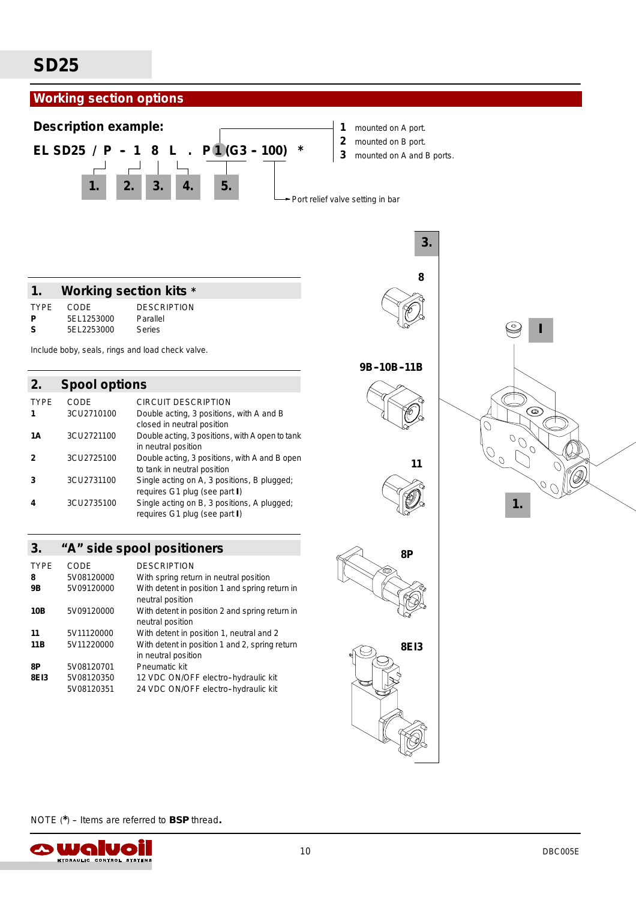### **Working section options**



| 1. |            | Working section kits * |  |
|----|------------|------------------------|--|
|    | TYPE CODE  | <b>DESCRIPTION</b>     |  |
| P  | 5FL1253000 | Parallel               |  |
| -S | 5EL2253000 | <b>Series</b>          |  |

*Include boby, seals, rings and load check valve.*

### **2. Spool options**

| <b>TYPE</b> | CODE       | <b>CIRCUIT DESCRIPTION</b>                                                      |
|-------------|------------|---------------------------------------------------------------------------------|
|             | 3CU2710100 | Double acting, 3 positions, with A and B<br>closed in neutral position          |
| 1Α          | 3CU2721100 | Double acting, 3 positions, with A open to tank<br>in neutral position          |
| 2           | 3CU2725100 | Double acting, 3 positions, with A and B open<br>to tank in neutral position    |
|             | 3CU2731100 | Single acting on A, 3 positions, B plugged;<br>requires G1 plug (see part $I$ ) |
|             | 3CU2735100 | Single acting on B, 3 positions, A plugged;<br>requires G1 plug (see part I)    |

# **3. "A" side spool positioners**

| <b>TYPE</b><br>8<br>9Β | CODE<br>5V08120000<br>5V09120000 | <b>DESCRIPTION</b><br>With spring return in neutral position<br>With detent in position 1 and spring return in |
|------------------------|----------------------------------|----------------------------------------------------------------------------------------------------------------|
| 10B                    | 5V09120000                       | neutral position<br>With detent in position 2 and spring return in<br>neutral position                         |
| 11                     | 5V11120000                       | With detent in position 1, neutral and 2                                                                       |
| 11 <sub>B</sub>        | 5V11220000                       | With detent in position 1 and 2, spring return<br>in neutral position                                          |
| 8Ρ                     | 5V08120701                       | Pneumatic kit                                                                                                  |
| <b>8E13</b>            | 5V08120350                       | 12 VDC ON/OFF electro-hydraulic kit                                                                            |
|                        | 5V08120351                       | 24 VDC ON/OFF electro-hydraulic kit                                                                            |

NOTE (**\***) -- *Items are referred to BSP thread.*





**11**

**8P**

**3.**



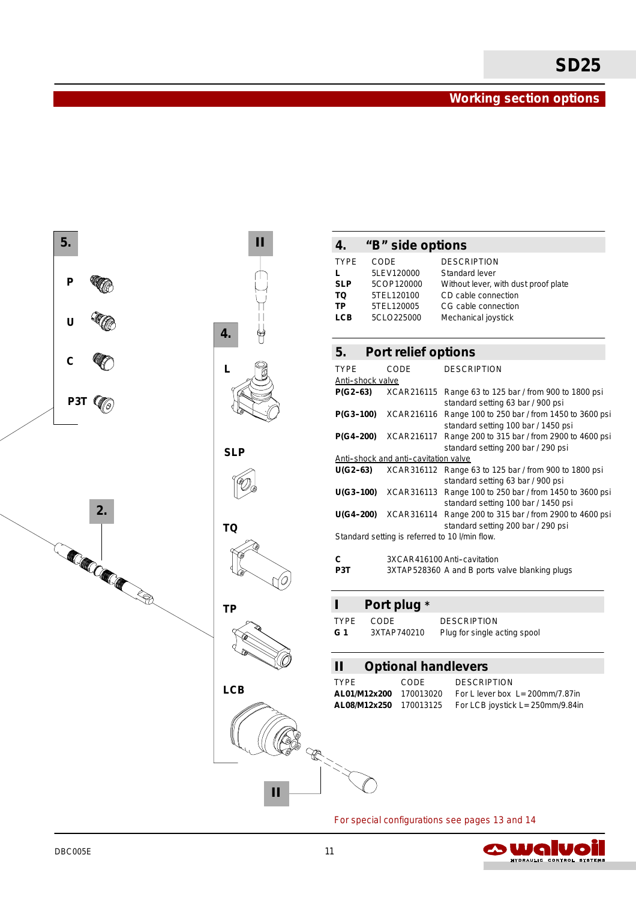### **Working section options**



| 4.                                             |            | "B" side options                     |                                                                                            |  |
|------------------------------------------------|------------|--------------------------------------|--------------------------------------------------------------------------------------------|--|
| <b>TYPE</b>                                    | CODE       |                                      | <b>DESCRIPTION</b>                                                                         |  |
| L                                              | 5LEV120000 |                                      | Standard lever                                                                             |  |
| <b>SLP</b><br>5COP120000                       |            |                                      | Without lever, with dust proof plate                                                       |  |
| TQ<br>5TEL120100                               |            |                                      | CD cable connection                                                                        |  |
| <b>TP</b><br>5TEL120005                        |            |                                      | CG cable connection                                                                        |  |
| 5CLO225000<br><b>LCB</b>                       |            |                                      | Mechanical joystick                                                                        |  |
| 5.                                             |            | Port relief options                  |                                                                                            |  |
| <b>TYPE</b><br>Anti-shock valve                |            | CODE                                 | <b>DESCRIPTION</b>                                                                         |  |
| P(G2-63)                                       |            | XCAR216115                           | Range 63 to 125 bar / from 900 to 1800 psi<br>standard setting 63 bar / 900 psi            |  |
| $P(G3 - 100)$                                  |            | XCAR216116                           | Range 100 to 250 bar / from 1450 to 3600 psi<br>standard setting 100 bar / 1450 psi        |  |
| P(G4-200)                                      |            | XCAR216117                           | Range 200 to 315 bar / from 2900 to 4600 psi<br>standard setting 200 bar / 290 psi         |  |
|                                                |            | Anti-shock and anti-cavitation valve |                                                                                            |  |
| $U(G2-63)$                                     |            |                                      | XCAR316112 Range 63 to 125 bar / from 900 to 1800 psi<br>standard setting 63 bar / 900 psi |  |
| $U(G3 - 100)$                                  |            | XCAR316113                           | Range 100 to 250 bar / from 1450 to 3600 psi<br>standard setting 100 bar / 1450 psi        |  |
| $U(G4 - 200)$                                  |            | XCAR316114                           | Range 200 to 315 bar / from 2900 to 4600 psi<br>standard setting 200 bar / 290 psi         |  |
| Standard setting is referred to 10 I/min flow. |            |                                      |                                                                                            |  |
| C                                              |            |                                      | 3XCAR416100 Anti-cavitation                                                                |  |
| P <sub>3</sub> T                               |            |                                      | 3XTAP528360 A and B ports valve blanking plugs                                             |  |
| I                                              |            | Port plug                            |                                                                                            |  |

#### **I Port plug \***

TYPE CODE DESCRIPTION **G 1** 3XTAP740210 Plug for single acting spool

#### **II Optional handlevers**

TYPE CODE DESCRIPTION

**AL01/M12x200** 170013020 For L lever box L= 200mm/*7.87in* **AL08/M12x250** 170013125 For LCB joystick L= 250mm/*9.84in*

For special configurations see pages 13 and 14

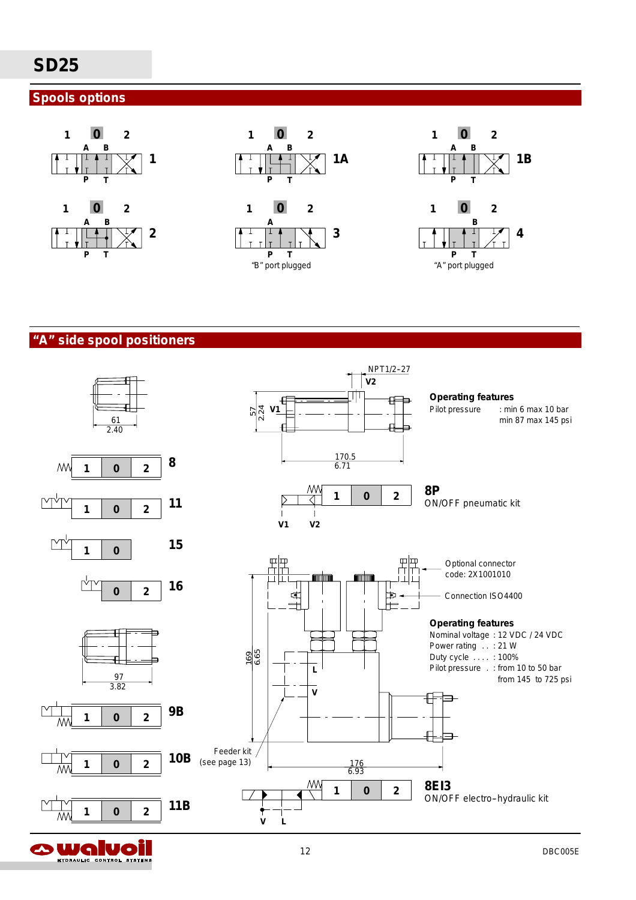# **Spools options**







### **"A" side spool positioners**



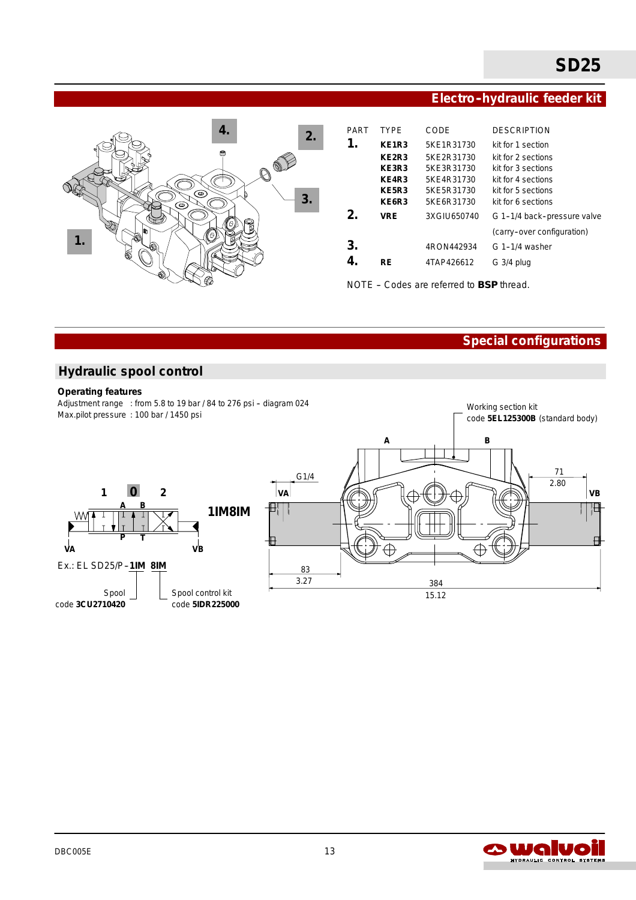### **Electro--hydraulic feeder kit**



| PART | <b>TYPE</b>                    | CODE        | <b>DESCRIPTION</b>          |
|------|--------------------------------|-------------|-----------------------------|
|      | KE <sub>1</sub> R <sub>3</sub> | 5KE1R31730  | kit for 1 section           |
|      | KE2R3                          | 5KE2R31730  | kit for 2 sections          |
|      | KE3R3                          | 5KE3R31730  | kit for 3 sections          |
|      | KE4R3                          | 5KE4R31730  | kit for 4 sections          |
|      | KE5R3                          | 5KE5R31730  | kit for 5 sections          |
|      | KE6R3                          | 5KE6R31730  | kit for 6 sections          |
| 2.   | VRF                            | 3XGIU650740 | G 1-1/4 back-pressure valve |
|      |                                |             | (carry-over configuration)  |
| 3.   |                                | 4RON442934  | G 1-1/4 washer              |
| 4    | RE                             | 4TAP426612  | $G$ 3/4 plug                |
|      |                                |             |                             |

NOTE -- *Codes are referred to BSP thread.*

# **Special configurations**

# **Hydraulic spool control**

#### **Operating features**

Adjustment range : from 5.8 to 19 bar / 84 to 276 psi - diagram 024 Max.pilot pressure : 100 bar / *1450 psi*





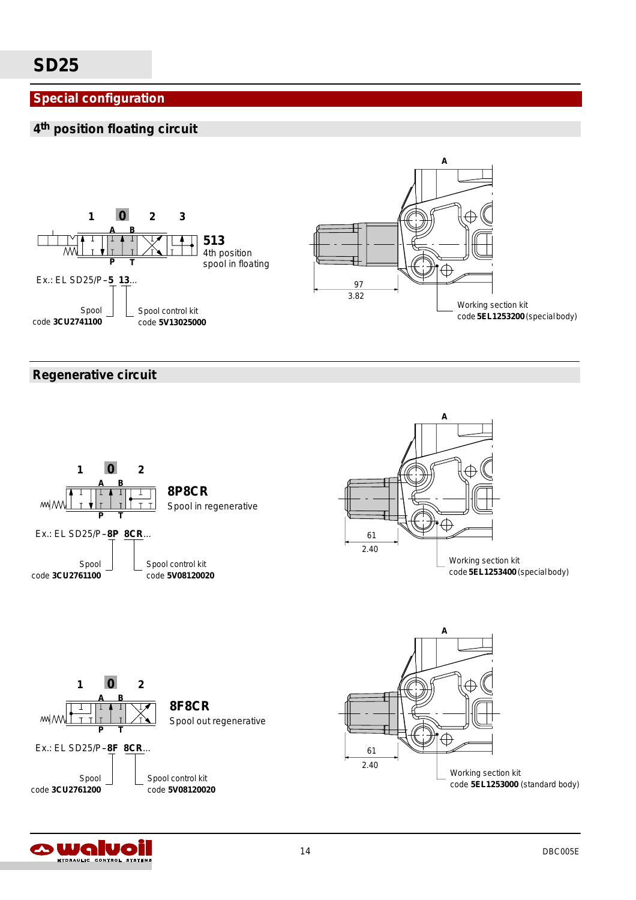# **Special configuration**

# **4th position floating circuit**



### **Regenerative circuit**



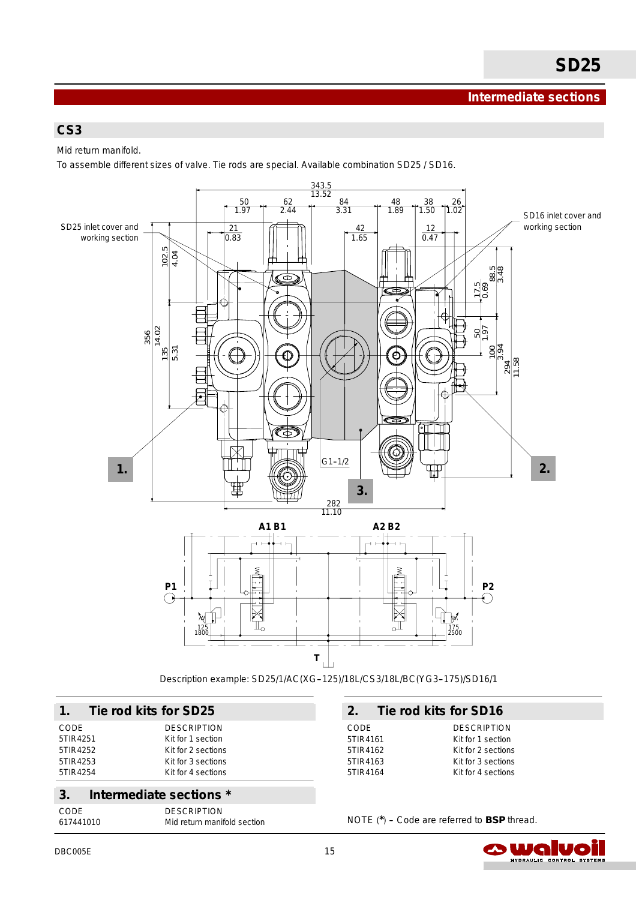#### **Intermediate sections**

### **CS3**

#### Mid return manifold.

To assemble different sizes of valve. Tie rods are special. Available combination SD25 / SD16.



#### **1. Tie rod kits for SD25**

CODE DESCRIPTION<br>5TIR4251 Kit for 1 section Kit for 1 section 5TIR4252 Kit for 2 sections 5TIR4253 Kit for 3 sections 5TIR4254 Kit for 4 sections

#### **3. Intermediate sections \***

| CODE.     | <b>DESCRIPTION</b>          |
|-----------|-----------------------------|
| 617441010 | Mid return manifold section |

| $\mathbf{2}$ | Tie rod kits for SD16 |                    |
|--------------|-----------------------|--------------------|
| CODE         |                       | <b>DESCRIPTION</b> |
| 5TIR4161     |                       | Kit for 1 section  |
| 5TIR4162     |                       | Kit for 2 sections |
| 5TIR4163     |                       | Kit for 3 sections |
| 5TIR4164     |                       | Kit for 4 sections |

NOTE (**\***) -- *Code are referred to BSP thread.*

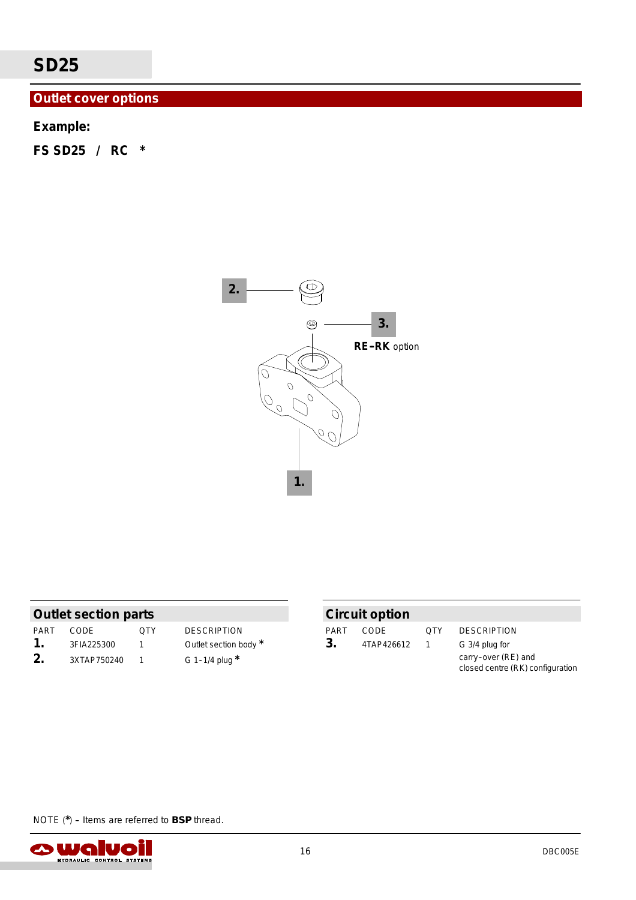# **Outlet cover options**

# **Example:**

**FS SD25 / RC \***



# **Outlet section parts Circuit option**

- PART CODE QTY DESCRIPTION **1.** 3FIA225300 1 Outlet section body **\***
- **2.** 3XTAP750240 1 G 1--1/4 plug **\***

# PART CODE QTY DESCRIPTION

| PART | <b>UUDE</b> | $U \cup Y$     | <b>DESURIPTIUN</b>               |
|------|-------------|----------------|----------------------------------|
| 3.   | 4TAP426612  | $\overline{1}$ | G 3/4 plug for                   |
|      |             |                | carry-over (RE) and              |
|      |             |                | closed centre (RK) configuration |

NOTE (**\***) -- *Items are referred to BSP thread.*

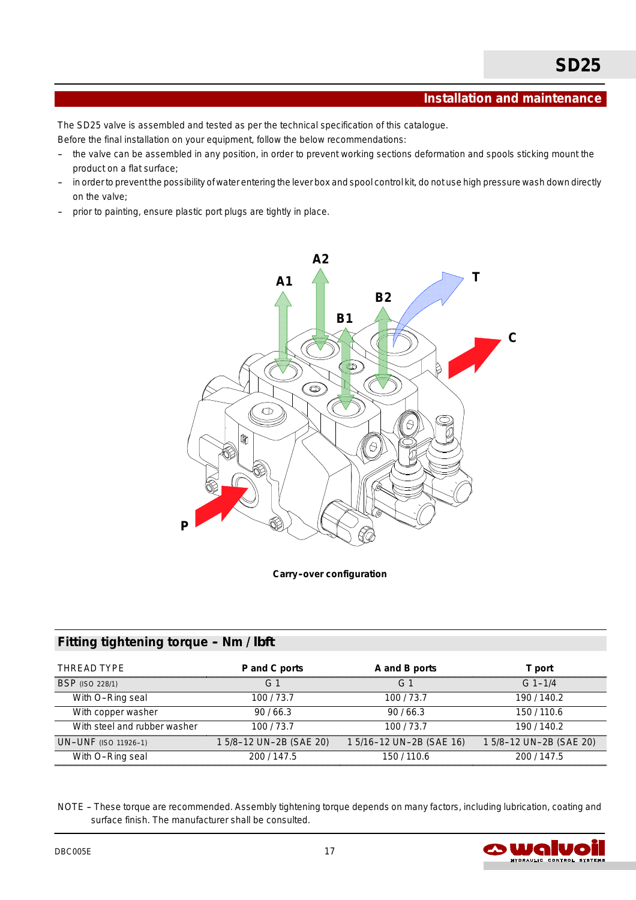#### **Installation and maintenance**

The SD25 valve is assembled and tested as per the technical specification of this catalogue.

Before the final installation on your equipment, follow the below recommendations:

- -- the valve can be assembled in any position, in order to prevent working sections deformation and spools sticking mount the product on a flat surface;
- in order to prevent the possibility of water entering the lever box and spool control kit, do not use high pressure wash down directly on the valve;
- prior to painting, ensure plastic port plugs are tightly in place.



**Carry--over configuration**

### **Fitting tightening torque - Nm / lbft**

| THREAD TYPE                  | P and C ports           | A and B ports            | T port                  |
|------------------------------|-------------------------|--------------------------|-------------------------|
| <b>BSP</b> (ISO 228/1)       | G 1                     | G 1                      | $G$ 1-1/4               |
| With O-Ring seal             | 100/73.7                | 100/73.7                 | 190 / 140.2             |
| With copper washer           | 90/66.3                 | 90/66.3                  | 150 / 110.6             |
| With steel and rubber washer | 100/73.7                | 100/73.7                 | 190 / 140.2             |
| <b>UN-UNF (ISO 11926-1)</b>  | 1 5/8-12 UN-2B (SAE 20) | 1 5/16-12 UN-2B (SAE 16) | 1 5/8-12 UN-2B (SAE 20) |
| With O-Ring seal             | 200 / 147.5             | 150 / 110.6              | 200 / 147.5             |

NOTE -- *These torque are recommended. Assembly tightening torque depends on many factors, including lubrication, coating and surface finish. The manufacturer shall be consulted.*

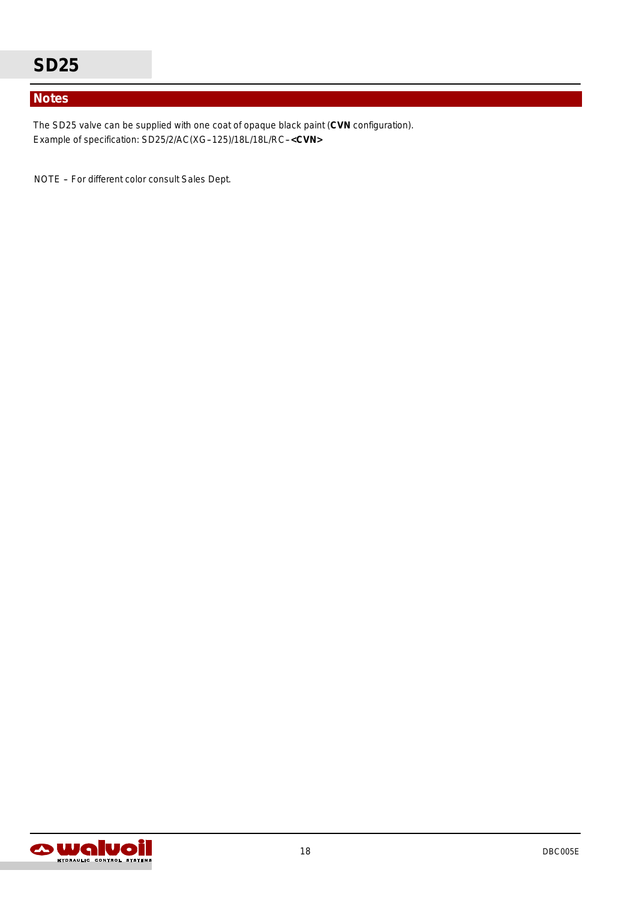### **Notes**

The SD25 valve can be supplied with one coat of opaque black paint (**CVN** configuration). Example of specification: SD25/2/AC(XG-125)/18L/18L/RC-<CVN>

NOTE -- *For different color consult Sales Dept.*

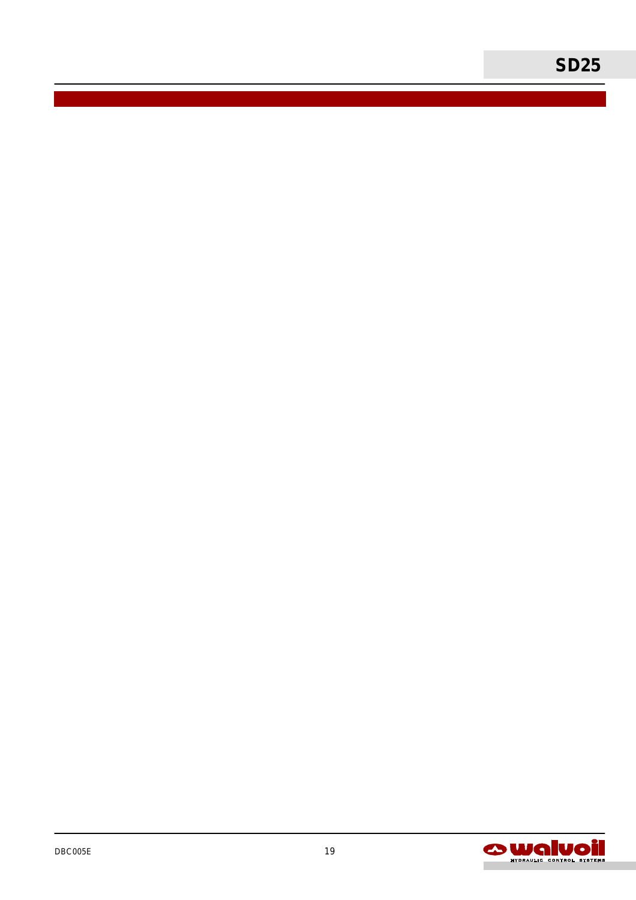